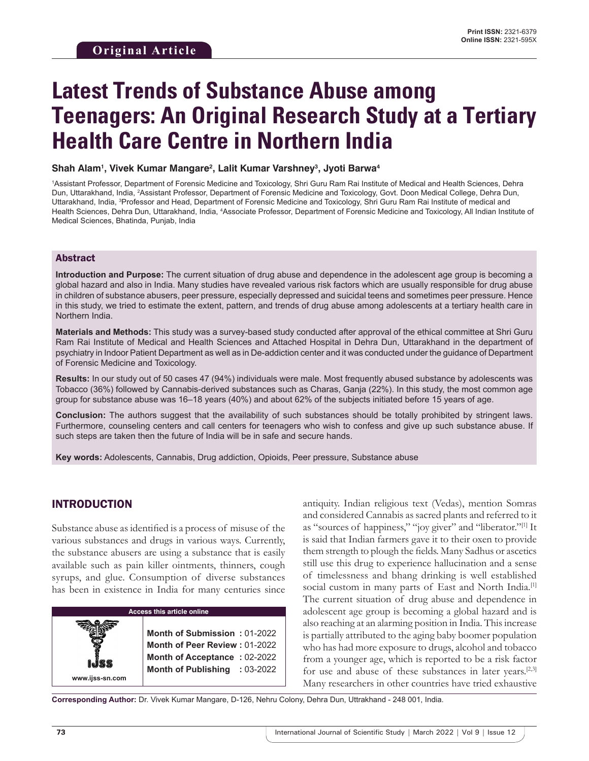# **Latest Trends of Substance Abuse among Teenagers: An Original Research Study at a Tertiary Health Care Centre in Northern India**

**Shah Alam1 , Vivek Kumar Mangare2 , Lalit Kumar Varshney3 , Jyoti Barwa4**

1 Assistant Professor, Department of Forensic Medicine and Toxicology, Shri Guru Ram Rai Institute of Medical and Health Sciences, Dehra Dun, Uttarakhand, India, 2 Assistant Professor, Department of Forensic Medicine and Toxicology, Govt. Doon Medical College, Dehra Dun, Uttarakhand, India, 3 Professor and Head, Department of Forensic Medicine and Toxicology, Shri Guru Ram Rai Institute of medical and Health Sciences, Dehra Dun, Uttarakhand, India, 4 Associate Professor, Department of Forensic Medicine and Toxicology, All Indian Institute of Medical Sciences, Bhatinda, Punjab, India

### Abstract

**Introduction and Purpose:** The current situation of drug abuse and dependence in the adolescent age group is becoming a global hazard and also in India. Many studies have revealed various risk factors which are usually responsible for drug abuse in children of substance abusers, peer pressure, especially depressed and suicidal teens and sometimes peer pressure. Hence in this study, we tried to estimate the extent, pattern, and trends of drug abuse among adolescents at a tertiary health care in Northern India.

**Materials and Methods:** This study was a survey-based study conducted after approval of the ethical committee at Shri Guru Ram Rai Institute of Medical and Health Sciences and Attached Hospital in Dehra Dun, Uttarakhand in the department of psychiatry in Indoor Patient Department as well as in De-addiction center and it was conducted under the guidance of Department of Forensic Medicine and Toxicology.

**Results:** In our study out of 50 cases 47 (94%) individuals were male. Most frequently abused substance by adolescents was Tobacco (36%) followed by Cannabis-derived substances such as Charas, Ganja (22%). In this study, the most common age group for substance abuse was 16–18 years (40%) and about 62% of the subjects initiated before 15 years of age.

**Conclusion:** The authors suggest that the availability of such substances should be totally prohibited by stringent laws. Furthermore, counseling centers and call centers for teenagers who wish to confess and give up such substance abuse. If such steps are taken then the future of India will be in safe and secure hands.

**Key words:** Adolescents, Cannabis, Drug addiction, Opioids, Peer pressure, Substance abuse

# INTRODUCTION

**www.ijss-sn.com**

Substance abuse as identified is a process of misuse of the various substances and drugs in various ways. Currently, the substance abusers are using a substance that is easily available such as pain killer ointments, thinners, cough syrups, and glue. Consumption of diverse substances has been in existence in India for many centuries since



**Month of Submission :** 01-2022 **Month of Peer Review :** 01-2022 **Month of Acceptance :** 02-2022 **Month of Publishing :** 03-2022 antiquity. Indian religious text (Vedas), mention Somras and considered Cannabis as sacred plants and referred to it as "sources of happiness," "joy giver" and "liberator."[1] It is said that Indian farmers gave it to their oxen to provide them strength to plough the fields. Many Sadhus or ascetics still use this drug to experience hallucination and a sense of timelessness and bhang drinking is well established social custom in many parts of East and North India.<sup>[1]</sup> The current situation of drug abuse and dependence in adolescent age group is becoming a global hazard and is also reaching at an alarming position in India. This increase is partially attributed to the aging baby boomer population who has had more exposure to drugs, alcohol and tobacco from a younger age, which is reported to be a risk factor for use and abuse of these substances in later years.<sup>[2,3]</sup> Many researchers in other countries have tried exhaustive

**Corresponding Author:** Dr. Vivek Kumar Mangare, D-126, Nehru Colony, Dehra Dun, Uttrakhand - 248 001, India.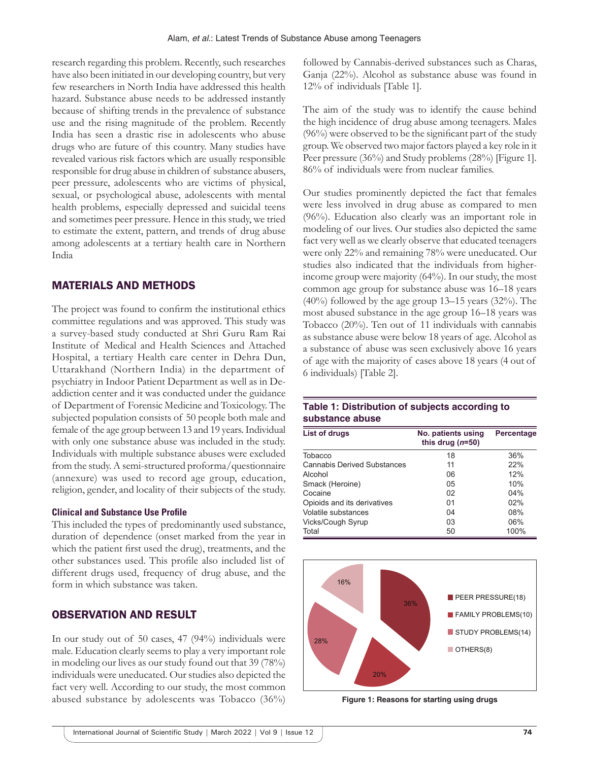research regarding this problem. Recently, such researches have also been initiated in our developing country, but very few researchers in North India have addressed this health hazard. Substance abuse needs to be addressed instantly because of shifting trends in the prevalence of substance use and the rising magnitude of the problem. Recently India has seen a drastic rise in adolescents who abuse drugs who are future of this country. Many studies have revealed various risk factors which are usually responsible responsible for drug abuse in children of substance abusers, peer pressure, adolescents who are victims of physical, sexual, or psychological abuse, adolescents with mental health problems, especially depressed and suicidal teens and sometimes peer pressure. Hence in this study, we tried to estimate the extent, pattern, and trends of drug abuse among adolescents at a tertiary health care in Northern India

## MATERIALS AND METHODS

The project was found to confirm the institutional ethics committee regulations and was approved. This study was a survey-based study conducted at Shri Guru Ram Rai Institute of Medical and Health Sciences and Attached Hospital, a tertiary Health care center in Dehra Dun, Uttarakhand (Northern India) in the department of psychiatry in Indoor Patient Department as well as in Deaddiction center and it was conducted under the guidance of Department of Forensic Medicine and Toxicology. The subjected population consists of 50 people both male and female of the age group between 13 and 19 years. Individual with only one substance abuse was included in the study. Individuals with multiple substance abuses were excluded from the study. A semi-structured proforma/questionnaire (annexure) was used to record age group, education, religion, gender, and locality of their subjects of the study.

#### **Clinical and Substance Use Profile**

This included the types of predominantly used substance, duration of dependence (onset marked from the year in which the patient first used the drug), treatments, and the other substances used. This profile also included list of different drugs used, frequency of drug abuse, and the form in which substance was taken.

# OBSERVATION AND RESULT

In our study out of 50 cases, 47 (94%) individuals were male. Education clearly seems to play a very important role in modeling our lives as our study found out that 39 (78%) individuals were uneducated. Our studies also depicted the fact very well. According to our study, the most common abused substance by adolescents was Tobacco (36%)

followed by Cannabis-derived substances such as Charas, Ganja (22%). Alcohol as substance abuse was found in 12% of individuals [Table 1].

The aim of the study was to identify the cause behind the high incidence of drug abuse among teenagers. Males (96%) were observed to be the significant part of the study group. We observed two major factors played a key role in it Peer pressure (36%) and Study problems (28%) [Figure 1]. 86% of individuals were from nuclear families.

Our studies prominently depicted the fact that females were less involved in drug abuse as compared to men (96%). Education also clearly was an important role in modeling of our lives. Our studies also depicted the same fact very well as we clearly observe that educated teenagers were only 22% and remaining 78% were uneducated. Our studies also indicated that the individuals from higherincome group were majority (64%). In our study, the most common age group for substance abuse was 16–18 years (40%) followed by the age group 13–15 years (32%). The most abused substance in the age group 16–18 years was Tobacco (20%). Ten out of 11 individuals with cannabis as substance abuse were below 18 years of age. Alcohol as a substance of abuse was seen exclusively above 16 years of age with the majority of cases above 18 years (4 out of 6 individuals) [Table 2].

#### **Table 1: Distribution of subjects according to substance abuse**

| <b>List of drugs</b>               | No. patients using<br>this drug $(n=50)$ | Percentage |  |  |
|------------------------------------|------------------------------------------|------------|--|--|
| Tobacco                            | 18                                       | 36%        |  |  |
| <b>Cannabis Derived Substances</b> | 11                                       | 22%        |  |  |
| Alcohol                            | 06                                       | 12%        |  |  |
| Smack (Heroine)                    | 05                                       | 10%        |  |  |
| Cocaine                            | 02                                       | 04%        |  |  |
| Opioids and its derivatives        | 01                                       | 02%        |  |  |
| Volatile substances                | 04                                       | 08%        |  |  |
| Vicks/Cough Syrup                  | 03                                       | 06%        |  |  |
| Total                              | 50                                       | 100%       |  |  |



**Figure 1: Reasons for starting using drugs**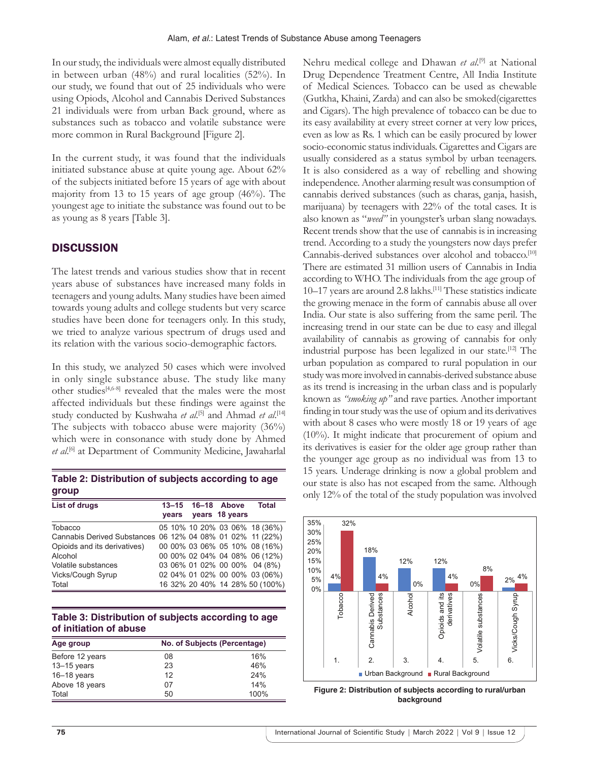In our study, the individuals were almost equally distributed in between urban (48%) and rural localities (52%). In our study, we found that out of 25 individuals who were using Opiods, Alcohol and Cannabis Derived Substances 21 individuals were from urban Back ground, where as substances such as tobacco and volatile substance were more common in Rural Background [Figure 2].

In the current study, it was found that the individuals initiated substance abuse at quite young age. About 62% of the subjects initiated before 15 years of age with about majority from 13 to 15 years of age group (46%). The youngest age to initiate the substance was found out to be as young as 8 years [Table 3].

# **DISCUSSION**

The latest trends and various studies show that in recent years abuse of substances have increased many folds in teenagers and young adults. Many studies have been aimed towards young adults and college students but very scarce studies have been done for teenagers only. In this study, we tried to analyze various spectrum of drugs used and its relation with the various socio-demographic factors.

In this study, we analyzed 50 cases which were involved in only single substance abuse. The study like many other studies[4,6-8] revealed that the males were the most affected individuals but these findings were against the study conducted by Kushwaha et al.<sup>[5]</sup> and Ahmad et al.<sup>[14]</sup> The subjects with tobacco abuse were majority (36%) which were in consonance with study done by Ahmed *et al*. [6] at Department of Community Medicine, Jawaharlal

**Table 2: Distribution of subjects according to age group**

| <b>List of drugs</b>                                      | 13-15 16-18 Above<br><b>vears</b> |  | years 18 years | <b>Total</b>                   |
|-----------------------------------------------------------|-----------------------------------|--|----------------|--------------------------------|
| Tobacco                                                   |                                   |  |                | 05 10% 10 20% 03 06% 18 (36%)  |
| Cannabis Derived Substances 06 12% 04 08% 01 02% 11 (22%) |                                   |  |                |                                |
| Opioids and its derivatives)                              |                                   |  |                | 00 00% 03 06% 05 10% 08 (16%)  |
| Alcohol                                                   |                                   |  |                | 00 00% 02 04% 04 08% 06 (12%)  |
| Volatile substances                                       |                                   |  |                | 03 06% 01 02% 00 00% 04 (8%)   |
| Vicks/Cough Syrup                                         |                                   |  |                | 02 04% 01 02% 00 00% 03 (06%)  |
| Total                                                     |                                   |  |                | 16 32% 20 40% 14 28% 50 (100%) |

**Table 3: Distribution of subjects according to age of initiation of abuse**

| Age group       |    | No. of Subjects (Percentage) |  |  |
|-----------------|----|------------------------------|--|--|
| Before 12 years | 08 | 16%                          |  |  |
| $13 - 15$ years | 23 | 46%                          |  |  |
| $16-18$ years   | 12 | 24%                          |  |  |
| Above 18 years  | 07 | 14%                          |  |  |
| Total           | 50 | 100%                         |  |  |

Nehru medical college and Dhawan *et al*. [9] at National Drug Dependence Treatment Centre, All India Institute of Medical Sciences. Tobacco can be used as chewable (Gutkha, Khaini, Zarda) and can also be smoked(cigarettes and Cigars). The high prevalence of tobacco can be due to its easy availability at every street corner at very low prices, even as low as Rs. 1 which can be easily procured by lower socio-economic status individuals. Cigarettes and Cigars are usually considered as a status symbol by urban teenagers. It is also considered as a way of rebelling and showing independence. Another alarming result was consumption of cannabis derived substances (such as charas, ganja, hasish, marijuana) by teenagers with 22% of the total cases. It is also known as "*weed"* in youngster's urban slang nowadays. Recent trends show that the use of cannabis is in increasing trend. According to a study the youngsters now days prefer Cannabis-derived substances over alcohol and tobacco.[10] There are estimated 31 million users of Cannabis in India according to WHO. The individuals from the age group of 10–17 years are around 2.8 lakhs.[11] These statistics indicate the growing menace in the form of cannabis abuse all over India. Our state is also suffering from the same peril. The increasing trend in our state can be due to easy and illegal availability of cannabis as growing of cannabis for only industrial purpose has been legalized in our state.[12] The urban population as compared to rural population in our study was more involved in cannabis-derived substance abuse as its trend is increasing in the urban class and is popularly known as *"smoking up"* and rave parties. Another important finding in tour study was the use of opium and its derivatives with about 8 cases who were mostly 18 or 19 years of age (10%). It might indicate that procurement of opium and its derivatives is easier for the older age group rather than the younger age group as no individual was from 13 to 15 years. Underage drinking is now a global problem and our state is also has not escaped from the same. Although only 12% of the total of the study population was involved